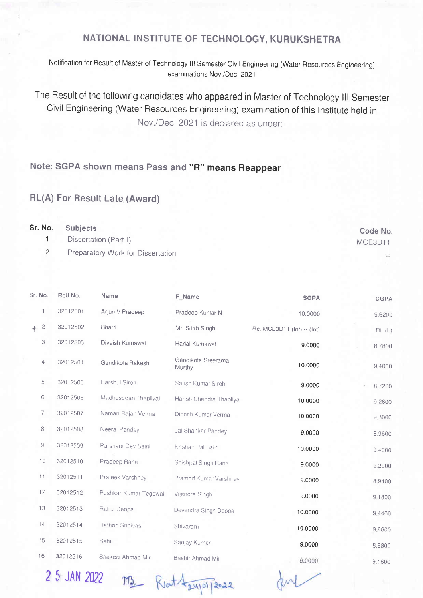## NATIONAL INSTITUTE OF TECHNOLOGY, KURUKSHETRA

Notification for Result of Master of Technology lll Semester Civil Engineering (Water Resources Engineering) examinations Nov /Dec. 2021

The Result of the following candidates who appeared in Master of Technology lll Semester Civil Engineering (Water Resources Engineering) examination of this lnstitute held in Nov./Dec. 2021 is declared as under:-

## Note: SGPA shown means Pass and "R" means Reappear

## RL(A) For Result Late (Award)

| Sr. No. Subjects                  | Code No. |
|-----------------------------------|----------|
| Dissertation (Part-I)             | MCE3D11  |
| Preparatory Work for Dissertation | $\sim$   |

| Roll No. | <b>Name</b>           | F Name                       | <b>SGPA</b>                | CGPA   |
|----------|-----------------------|------------------------------|----------------------------|--------|
| 32012501 | Arjun V Pradeep       | Pradeep Kumar N              | 10.0000                    | 9.6200 |
| 32012502 | <b>Bharti</b>         | Mr. Sitab Singh              | Re. MCE3D11 (Int) -- (Int) | RL(L)  |
| 32012503 | Divaish Kumawat       | Harlal Kumawat               | 9.0000                     | 8.7800 |
| 32012504 | Gandikota Rakesh      | Gandikota Sreerama<br>Murthy | 10.0000                    | 9.4000 |
| 32012505 | Harshul Sirohi        | Satish Kumar Sirohi          | 9.0000                     | 8.7200 |
| 32012506 | Madhusudan Thapliyal  | Harish Chandra Thapliyal     | 10.0000                    | 9.2600 |
| 32012507 | Naman Rajan Verma     | Dinesh Kumar Verma           | 10.0000                    | 9,3000 |
| 32012508 | Neeraj Pandey         | Jai Shankar Pandey           | 9.0000                     | 8.9600 |
| 32012509 | Parshant Dev Saini    | Krishan Pal Saini            | 10.0000                    | 9.4000 |
| 32012510 | Pradeep Rana          | Shishpal Singh Rana          | 9.0000                     | 9.2000 |
| 32012511 | Prateek Varshney      | Pramod Kumar Varshney        | 9.0000                     | 8.9400 |
| 32012512 | Pushkar Kumar Tegowal | Vijendra Singh               | 9.0000                     | 9.1800 |
| 32012513 | Rahul Deopa           | Devendra Singh Deopa         | 10.0000                    | 9.4400 |
| 32012514 | Rathod Srinivas       | Shivaram                     | 10.0000                    | 9,6600 |
| 32012515 | Sahil                 | Sanjay Kumar                 | 9.0000                     | 8.8800 |
| 32012516 | Shakeel Ahmad Mir     | Bashir Ahmad Mir             | 9.0000                     | 9.1600 |
|          |                       |                              |                            |        |

2 5 JAN 2022 M3 Rout Laypy 2022